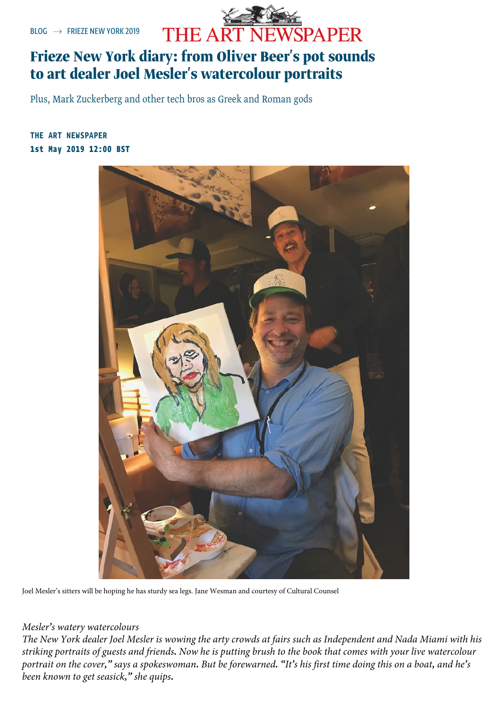

# [Frie](https://www.theartnewspaper.com/blog)z[e New York d](https://www.theartnewspaper.com/frieze-new-york-2019)iary: from Oliver Beer's pot sounds to art dealer Joel Mesler's watercolour portraits

Plus, Mark Zuckerberg and other tech bros as Greek and Roman gods

## 1st May 2019 12:00 BST [THE ART NEWSPAPER](https://www.theartnewspaper.com/the-art-newspaper)



Joel Mesler's sitters will be hoping he has sturdy sea legs. Jane Wesman and courtesy of Cultural Counsel

### *Mesler's watery watercolours*

The New York dealer Joel Mesler is wowing the arty crowds at fairs such as Independent and Nada Miami with his striking portraits of guests and friends. Now he is putting brush to the book that comes with your live watercolour portrait on the cover," says a spokeswoman. But be forewarned. "It's his first time doing this on a boat, and he's *been known to get seasick," she quips.*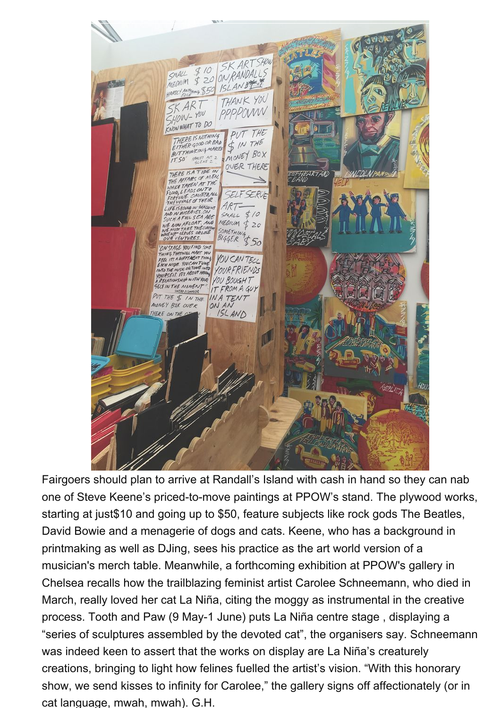

Fairg[oers should plan to arrive at Randall's Island with cash in hand so they c](https://images.graph.cool/v1/cj6c28vh912680101ozc2paxj/cjv4dk4qo02jy0124i50dwqn4/0x0:1000x1333/960x960/frny_hs_stevekeene_02.jpg)an nab one of Steve Keene's priced-to-move paintings at PPOW's stand. The plywood works, starting at just\$10 and going up to \$50, feature subjects like rock gods The Beatles, David Bowie and a menagerie of dogs and cats. Keene, who has a background in printmaking as well as DJing, sees his practice as the art world version of a musician's merch table. Meanwhile, a forthcoming exhibition at PPOW's gallery in Chelsea recalls how the trailblazing feminist artist Carolee Schneemann, who died in March, really loved her cat La Niña, citing the moggy as instrumental in the creative process. Tooth and Paw (9 May-1 June) puts La Niña centre stage , displaying a "series of sculptures assembled by the devoted cat", the organisers say. Schneemann was indeed keen to assert that the works on display are La Niña's creaturely creations, bringing to light how felines fuelled the artist's vision. "With this honorary show, we send kisses to infinity for Carolee," the gallery signs off affectionately (or in cat language, mwah, mwah). G.H.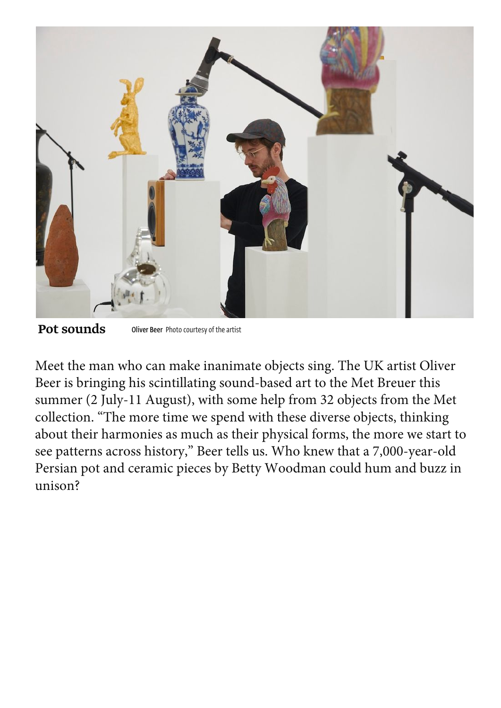

Pot sounds Oliver Beer Photo courtesy of the artist

Meet the man who can make inanimate objects sing. The UK artist Oliver Beer is bringing his scintillating sound-based art to the Met Breuer this summer (2 July-11 August), with some help from 32 objects from the Met collection. "The more time we spend with these diverse objects, thinking [about their harmonies as much as their physical forms, the more we start to](https://images.graph.cool/v1/cj6c28vh912680101ozc2paxj/cjv4d6lyx02iq0124mfdnlmmo/0x0:1000x667/960x960/oliverbeer.jpg)  see patterns across history," Beer tells us. Who knew that a 7,000-year-old Persian pot and ceramic pieces by Betty Woodman could hum and buzz in unison?